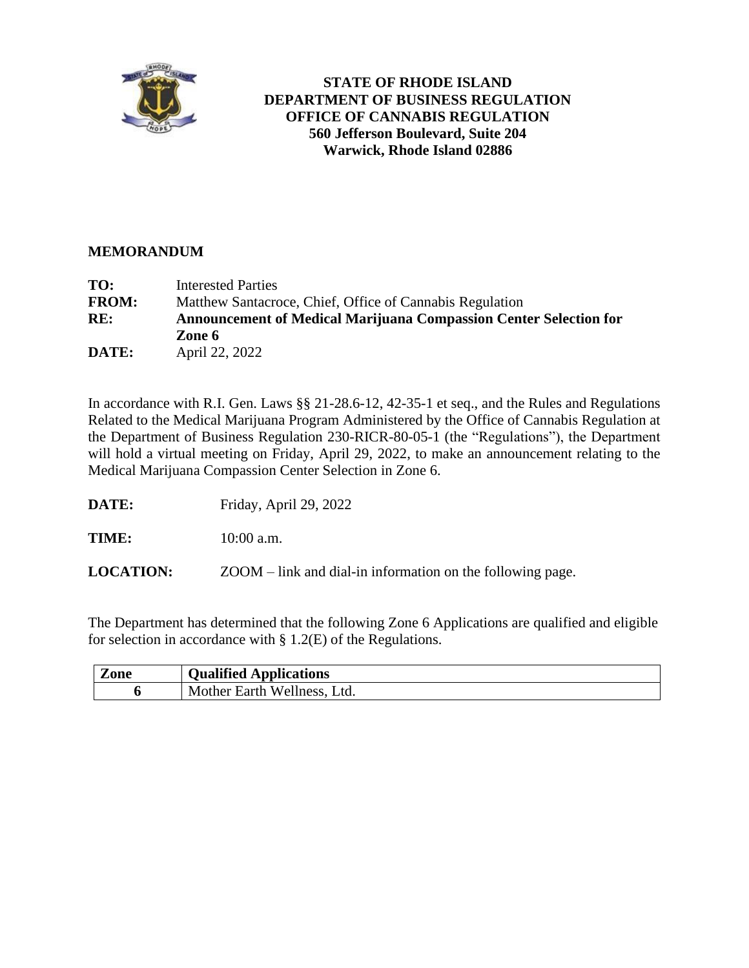

## **STATE OF RHODE ISLAND DEPARTMENT OF BUSINESS REGULATION OFFICE OF CANNABIS REGULATION 560 Jefferson Boulevard, Suite 204 Warwick, Rhode Island 02886**

## **MEMORANDUM**

| TO:          | Interested Parties                                                       |
|--------------|--------------------------------------------------------------------------|
| <b>FROM:</b> | Matthew Santacroce, Chief, Office of Cannabis Regulation                 |
| RE:          | <b>Announcement of Medical Marijuana Compassion Center Selection for</b> |
|              | Zone 6                                                                   |
| DATE:        | April 22, 2022                                                           |

In accordance with R.I. Gen. Laws §§ 21-28.6-12, 42-35-1 et seq., and the Rules and Regulations Related to the Medical Marijuana Program Administered by the Office of Cannabis Regulation at the Department of Business Regulation 230-RICR-80-05-1 (the "Regulations"), the Department will hold a virtual meeting on Friday, April 29, 2022, to make an announcement relating to the Medical Marijuana Compassion Center Selection in Zone 6.

**DATE:** Friday, April 29, 2022

**TIME:** 10:00 a.m.

**LOCATION:** ZOOM – link and dial-in information on the following page.

The Department has determined that the following Zone 6 Applications are qualified and eligible for selection in accordance with § 1.2(E) of the Regulations.

| <i>L</i> one | <b>Qualified Applications</b> |
|--------------|-------------------------------|
|              | Mother Earth Wellness, Ltd.   |